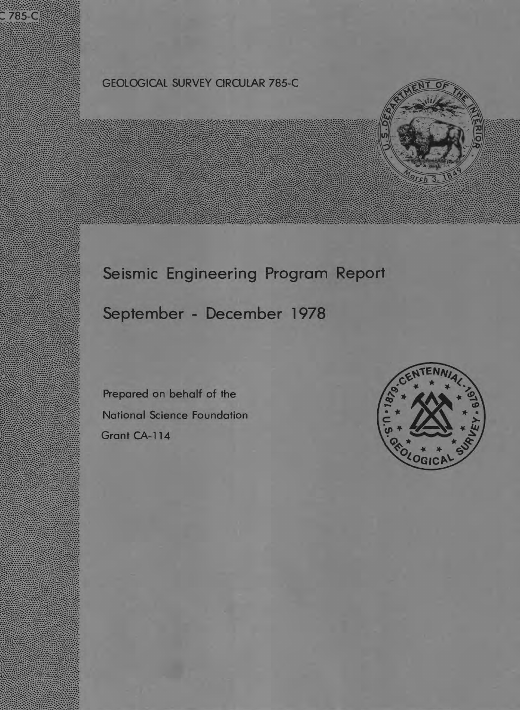# GEOLOGICAL SURVEY CIRCULAR 785-C



# Seismic Engineering Program Report

# September - December 1978

Prepared on behalf of the National Science Foundation Grant CA-114

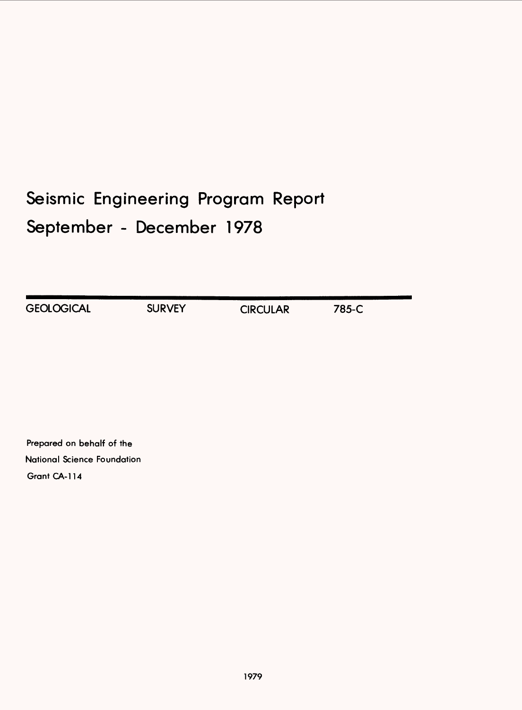# Seismic Engineering Program Report September - December 1978

| <b>GEOLOGICAL</b> | <b>SURVEY</b> | <b>CIRCULAR</b> | 785-C |  |
|-------------------|---------------|-----------------|-------|--|

Prepared on behalf of the National Science Foundation Grant CA-114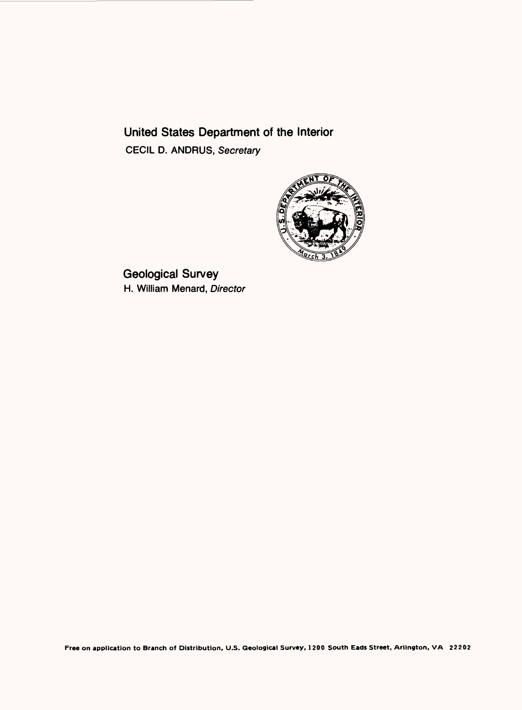# United States Department of the Interior CECIL D. ANDRUS, Secretary



Geological Survey H. William Menard, Director

**Free on application to Branch of Distribution, U.S. Geological Survey, 1200 South Eads Street, Arlington, VA 22202**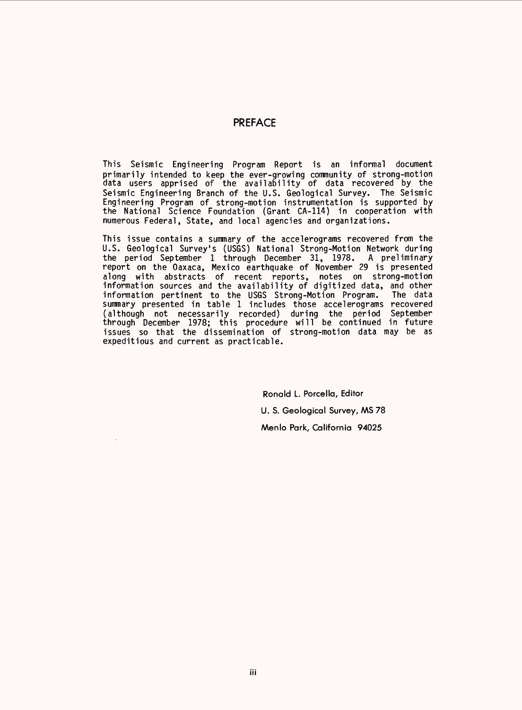#### PREFACE

This Seismic Engineering Program Report is an informal document primarily intended to keep the ever-growing community of strong-motion data users apprised of the availability of data recovered by the Seismic Engineering Branch of the U.S. Geological Survey. The Seismic Engineering Program of strong-motion instrumentation is supported by the National Science Foundation (Grant CA-114) in cooperation with numerous Federal, State, and local agencies and organizations.

This issue contains a summary of the accelerograms recovered from the U.S. Geological Survey's (USGS) National Strong-Motion Network during the period September 1 through December 31, 1978. A preliminary report on the Oaxaca, Mexico earthquake of November 29 is presented along with abstracts of recent reports, notes on strong-motion information sources and the availability of digitized data, and other information pertinent to the USGS Strong-Motion Program. The data summary presented in table 1 includes those accelerograms recovered (although not necessarily recorded) during the period September through December 1978; this procedure will be continued in future issues so that the dissemination of strong-motion data may be as expeditious and current as practicable.

> Ronald L. Porcella, Editor U. S. Geological Survey, MS 78 Menlo Park, California 94025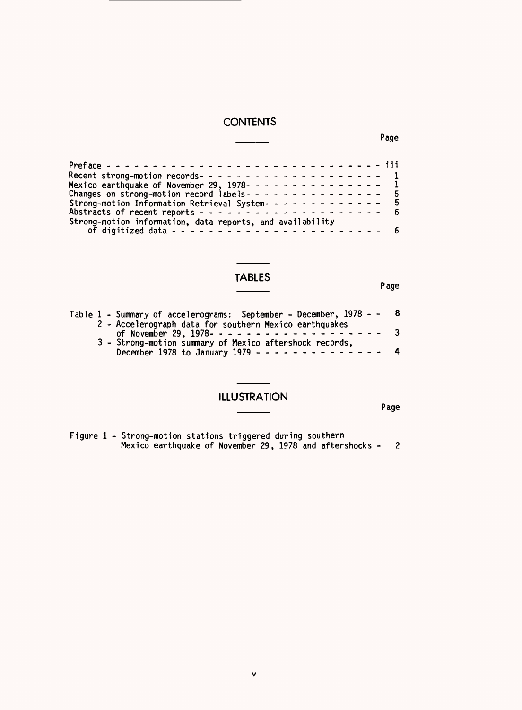#### **CONTENTS**

|  |  |  | -------------                 |  |  |  |  |
|--|--|--|-------------------------------|--|--|--|--|
|  |  |  | - - - - - - - - - - - - - - - |  |  |  |  |

\_\_\_\_ Page

Preface ------------------------------ lil Recent strong-motion records- ------------------- 1 Mexico earthquake of November 29, 1978- -------------- 1 Changes on strong-motion record labels- -------------- 5 Strong-motion Information Retrieval System-<br>Strong-motion Information Retrieval System-------------- 5<br>Abstracts of recent reports -------------------------- 6 Strong-motion information, data reports, and availability of digitized data ----------------------- 6

#### TABLES

Page

|  | Table 1 - Summary of accelerograms: September - December, 1978 - - 8 |  |
|--|----------------------------------------------------------------------|--|
|  | 2 - Accelerograph data for southern Mexico earthquakes               |  |
|  | of November 29, 1978--------------------- 3                          |  |
|  | 3 - Strong-motion summary of Mexico aftershock records,              |  |
|  | December 1978 to January 1979 - - - - - - - - - - - - - - 4          |  |

#### ILLUSTRATION  $\overline{\phantom{a}}$  Page

Figure 1 - Strong-motion stations triggered during southern Mexico earthquake of November 29, 1978 and aftershocks -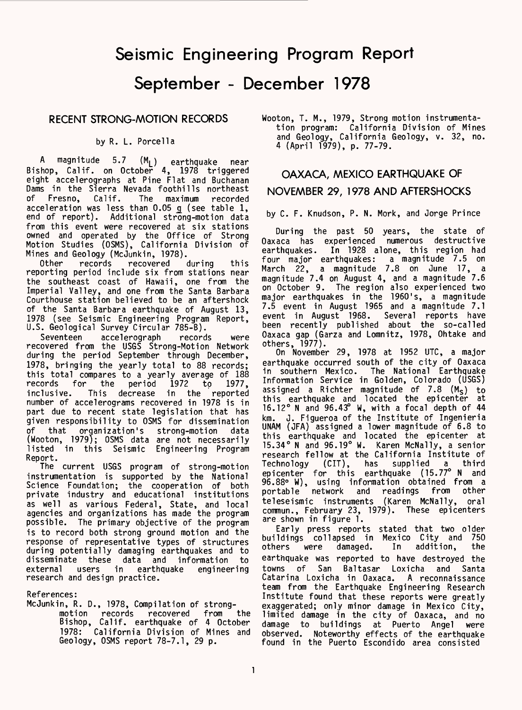# Seismic Engineering Program Report

September - December 1978

#### RECENT STRONG-MOTION RECORDS

by R. L. Porcella

A magnitude 5.7 (M<sub>L</sub>) earthquake near Bishop, Calif, on October 4, 1978 triggered eight accelerographs at Pine Flat and Buchanan Dams in the Sierra Nevada foothills northeast of Fresno, Calif. The maximum recorded acceleration was less than 0.05  $\mathfrak g$  (see table 1, end of report). Additional strong-motion data from this event were recovered at six stations owned and operated by the Office of Strong Motion Studies (OSMS), California Division of Mines and Geology (McJunkin, 1978).<br>Other records recovered during

recovered during this reporting period include six from stations near the southeast coast of Hawaii, one from the Imperial Valley, and one from the Santa Barbara Courthouse station believed to be an aftershock of the Santa Barbara earthquake of August 13, 1978 (see Seismic Engineering Program Report, U.S. Geological Survey Circular 785-B).

Seventeen accelerograph records were recovered from the USGS Strong-Motion Network during the period September through December, 1978, bringing the yearly total to 88 records; this total compares to a yearly average of 188<br>records for the period 1972 to 1977, records for the period 1972 to<br>inclusive. This decrease in the r This decrease in the reported number of accelerograms recovered in 1978 is in part due to recent state legislation that has given responsibility to OSMS for dissemination of that organization's strong-motion data (Wooton, 1979); OSMS data are not necessarily listed in this Seismic Engineering Program Report.

The current USGS program of strong-motion instrumentation is supported by the National Science Foundation; the cooperation of both private industry and educational institutions as well as various Federal, State, and local agencies and organizations has made the program possible. The primary objective of the program is to record both strong ground motion and the response of representative types of structures during potentially damaging earthquakes and to disseminate these data and information to<br>external users in earthquake engineering earthquake engineering research and design practice.

References:

McJunkin, R. D., 1978, Compilation of strong-

motion records recovered from the Bishop, Calif, earthquake of 4 October 1978: California Division of Mines and Geology, OSMS report 78-7.1, 29 p.

Wooton, T. M., 1979, Strong motion instrumentation program: California Division of Mines and Geology, California Geology, v. 32, no. 4 (April 1979), p. 77-79.

# OAXACA, MEXICO EARTHQUAKE OF NOVEMBER 29, 1978 AND AFTERSHOCKS

by C. F. Knudson, P. N. Mork, and Jorge Prince

During the past 50 years, the state of Oaxaca has experienced numerous destructive earthquakes. In 1928 alone, this region had four major earthquakes: a magnitude 7.5 on March 22, a magnitude 7.8 on June 17, a magnitude 7.4 on August 4, and a magnitude 7.6 on October 9. The region also experienced two major earthquakes in the 1960's, a magnitude 7.5 event in August 1965 and a magnitude 7.1 event in August<sup> 1968</sup>. Several reports have been recently published about the so-called Oaxaca gap (Garza and Lomnitz, 1978, Ohtake and others, 1977).

On November 29, 1978 at 1952 UTC, a major earthquake occurred south of the city of Oaxaca in southern Mexico. The National Earthquake Information Service in Golden, Colorado (USGS) assigned a Richter magnitude of 7.8 (M<sub>S</sub>) to this earthquake and located the epicenter at 16.12° N and 96.43° W, with a focal depth of 44 km. J. Figueroa of the Institute of Ingenieria UNAM (JFA) assigned a lower magnitude of 6.8 to this earthquake and located the epicenter at 15.34° N and 96.19° W. Karen McNally, a senior research fellow at the California Institute of Technology (CIT), has supplied a third epicenter for this earthquake (15.77° N and 96.88° W), using information obtained from a portable network and readings from other teleseismic instruments (Karen McNally, oral commun., February 23, 1979). These epicenters are shown in figure 1.

Early press reports stated that two older buildings collapsed in Mexico City and 750 others were damaged. earthquake was reported to have destroyed the towns of San Baltasar Loxicha and Santa Catarina Loxicha in Oaxaca. A reconnaissance team from the Earthquake Engineering Research Institute found that these reports were greatly exaggerated; only minor damage in Mexico City, limited damage in the city of Oaxaca, and no damage to buildings at Puerto Angel were observed. Noteworthy effects of the earthquake found in the Puerto Escondido area consisted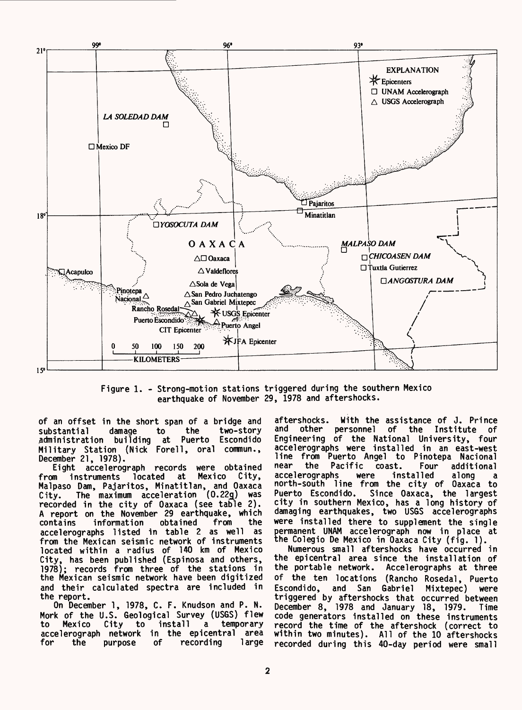

Figure 1. - Strong-motion stations triggered during the southern Mexico earthquake of November 29, 1978 and aftershocks.

of an offset in the short span of a bridge and substantial damage to the two-story administration building at Puerto Escondido Military Station (Nick Forell, oral commun., December 21, 1978).

Eight accelerograph records were obtained<br>wm instruments located at Mexico City, from instruments located at Malpaso Dam, Pajaritos, Minatitlan, and Oaxaca City. The maximum acceleration (0.22g) was recorded in the city of Oaxaca (see table 2). A report on the November 29 earthquake, which contains information accelerographs listed in table 2 as well as from the Mexican seismic network of instruments located within a radius of 140 km of Mexico City, has been published (Espinosa and others,<br>1978): records from three of the stations in ; records from three of the stations in the Mexican seismic network have been digitized and their calculated spectra are included in the report.

On December 1, 1978, C. F. Knudson and P. N. Mork of the U.S. Geological Survey (USGS) flew to Mexico City to install a temporary accelerograph network in the epicentral area<br>for the purpose of recording large for the purpose

aftershocks. With the assistance of J. Prince<br>and other personnel of the Institute of other personnel of the Institute of Engineering of the National University, four accelerographs were installed in an east-west line from Puerto Angel to Pinotepa Nacional<br>near the Pacific coast. Four additional coast. Four additional<br>einstalled along a accelerographs were installed along a north-south line from the city of Oaxaca to Puerto Escondido. Since Oaxaca, the largest city in southern Mexico, has a long history of damaging earthquakes, two USGS accelerographs were installed there to supplement the single permanent UNAM accelerograph now in place at the Colegio De Mexico in Oaxaca City (fig. 1).

Numerous small aftershocks have occurred in the epicentral area since the installation of the portable network. Accelerographs at three of the ten locations (Rancho Rosedal, Puerto Escondido, and San Gabriel Mixtepec) were triggered by aftershocks that occurred between December 8, 1978 and January 18, 1979. Time code generators installed on these instruments record the time of the aftershock (correct to within two minutes). All of the 10 aftershocks recorded during this 40-day period were small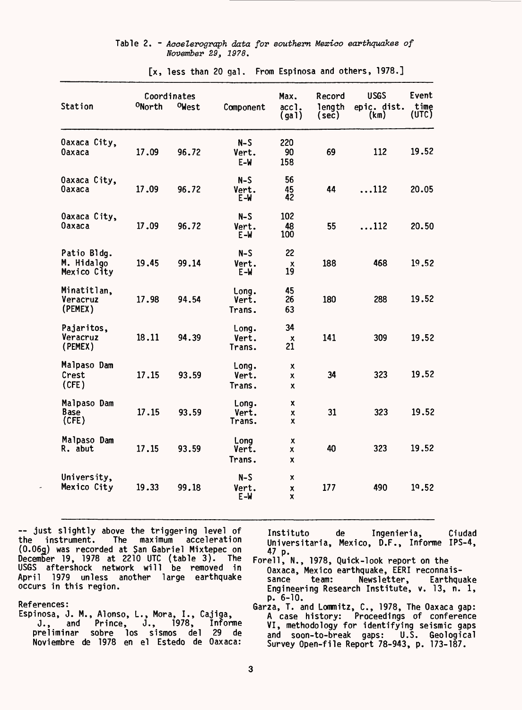|  |                    |  |  | Table 2. - Accelerograph data for southern Mexico earthquakes of |  |
|--|--------------------|--|--|------------------------------------------------------------------|--|
|  | November 29, 1978. |  |  |                                                                  |  |

| Station                                  | ONorth | Coordinates<br>OWest | Component                 | Max.<br>acc1.<br>(ga) | Record<br>length<br>(sec) | <b>USGS</b><br>epic. dist.<br>(km) | Event<br>time<br>(UTC) |
|------------------------------------------|--------|----------------------|---------------------------|-----------------------|---------------------------|------------------------------------|------------------------|
| Oaxaca City,<br>Oaxaca                   | 17.09  | 96.72                | $N-S$<br>Vert.<br>$E-W$   | 220<br>90<br>158      | 69                        | 112                                | 19.52                  |
| Oaxaca City,<br><b>Oaxaca</b>            | 17.09  | 96.72                | $N-S$<br>Vert.<br>$E - W$ | 56<br>45<br>42        | 44                        | $\ldots$ 112                       | 20.05                  |
| Oaxaca City,<br>Oaxaca                   | 17.09  | 96.72                | $N-S$<br>Vert.<br>E-W     | 102<br>48<br>100      | 55                        | $\dots$ 112                        | 20.50                  |
| Patio Bldg.<br>M. Hidalgo<br>Mexico City | 19.45  | 99.14                | N-S<br>Vert.<br>$E-M$     | 22<br>x<br>19         | 188                       | 468                                | 19.52                  |
| Minatitlan,<br>Veracruz<br>(PEMEX)       | 17.98  | 94.54                | Long.<br>Vert.<br>Trans.  | 45<br>26<br>63        | 180                       | 288                                | 19.52                  |
| Pajaritos,<br>Veracruz<br>(PEMEX)        | 18.11  | 94.39                | Long.<br>Vert.<br>Trans.  | 34<br>х<br>21         | 141                       | 309                                | 19.52                  |
| Malpaso Dam<br>Crest<br>(CFE)            | 17.15  | 93.59                | Long.<br>Vert.<br>Trans.  | x<br>x<br>X           | 34                        | 323                                | 19.52                  |
| Malpaso Dam<br>Base<br>(CFE)             | 17.15  | 93.59                | Long.<br>Vert.<br>Trans.  | x<br>x<br>x           | 31                        | 323                                | 19.52                  |
| Malpaso Dam<br>R. abut                   | 17.15  | 93.59                | Long<br>Vert.<br>Trans.   | x<br>x<br>X           | 40                        | 323                                | 19.52                  |
| University,<br>Mexico City               | 19.33  | 99.18                | $N-S$<br>Vert.<br>$E - W$ | x<br>X<br>X           | 177                       | 490                                | 19.52                  |

[x, less than 20 gal. From Espinosa and others, 1978.]

~ just slightly above the triggering level of the instrument. The maximum acceleration (0.06g) was recorded at San Gabriel Mixtepec on December 19, 1978 at 2210 UTC (table 3). The USGS aftershock network will be removed in April 1979 unless another large earthquake occurs in this region.

References:

Espinosa, J. M., Alonso, L., Mora, I., Cajiga, J., and Prince, J., 1978, Infonne preliminar sobre los sismos del 29 de Noviembre de 1978 en el Estedo de Oaxaca:

Instituto de Ingenieria, Ciudad Universitaria, Mexico, D.F., Informe IPS-4, 47 p.

- Forell, N., 1978, Quick-look report on the Oaxaca, Mexico earthquake, EERI reconnaissance team: Newsletter, Earthquake Engineering Research Institute, v. 13, n. 1, p. 6-10.
- Garza, T. and Lommitz, C., 1978, The Oaxaca gap: A case history: Proceedings of conference VI, methodology for identifying seismic gaps and soon-to-break gaps: U.S. Geological Survey Open-file Report 78-943, p. 173-187.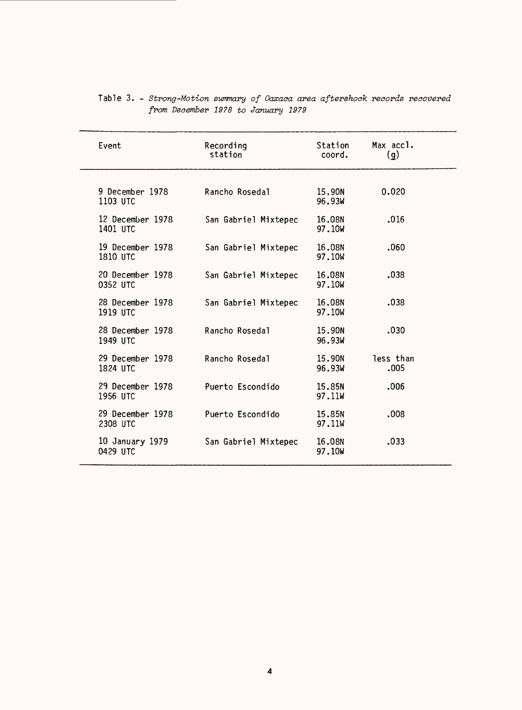| Event                        | Recording<br>station | Station<br>coord. | Max accl.<br>$\mathbf{q}$ |
|------------------------------|----------------------|-------------------|---------------------------|
| 9 December 1978<br>1103 UTC  | Rancho Rosedal       | 15.90N<br>96.93W  | 0.020                     |
| 12 December 1978<br>1401 UTC | San Gabriel Mixtepec | 16.08N<br>97.10W  | .016                      |
| 19 December 1978<br>1810 UTC | San Gabriel Mixtepec | 16.08N<br>97.10W  | .060                      |
| 20 December 1978<br>0352 UTC | San Gabriel Mixtepec | 16.08N<br>97.10W  | .038                      |
| 28 December 1978<br>1919 UTC | San Gabriel Mixtepec | 16.08N<br>97.10W  | .038                      |
| 28 December 1978<br>1949 UTC | Rancho Rosedal       | 15.90N<br>96.93W  | .030                      |
| 29 December 1978<br>1824 UTC | Rancho Rosedal       | 15.90N<br>96.93W  | less than<br>.005         |
| 29 December 1978<br>1956 UTC | Puerto Escondido     | 15.85N<br>97.11W  | .006                      |
| 29 December 1978<br>2308 UTC | Puerto Escondido     | 15.85N<br>97.11W  | .008                      |
| 10 January 1979<br>0429 UTC  | San Gabriel Mixtepec | 16.08N<br>97.10W  | .033                      |
|                              |                      |                   |                           |

|  |                                    | Table 3. - Strong-Motion summary of Oaxaca area aftershock records recovered |  |
|--|------------------------------------|------------------------------------------------------------------------------|--|
|  | from December 1978 to January 1979 |                                                                              |  |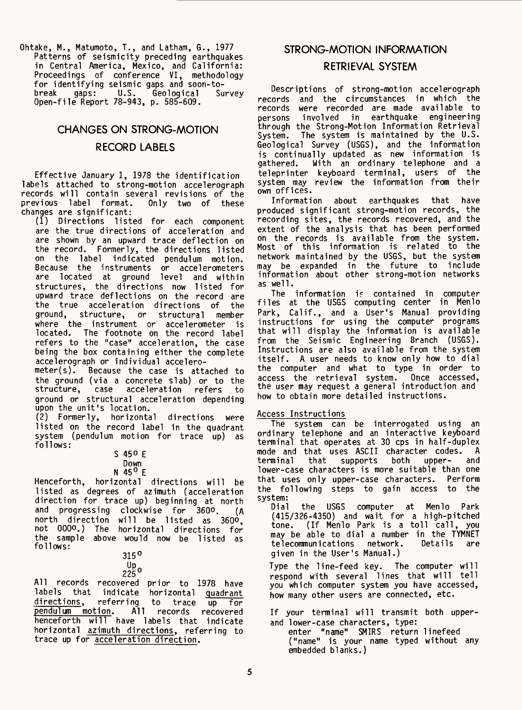Ohtake, M., Matumoto, T., and Latham, 6., 1977 Patterns of seismicity preceding earthquakes in Central America, Mexico, and California: Proceedings of conference VI, methodology for identifying seismic gaps and soon-to-<br>break gaps: U.S. Geological Survey U.S. Geological Open-file Report 78-943, p. 585-609.

## CHANGES ON STRONG-MOTION RECORD LABELS

Effective January 1, 1978 the identification labels attached to strong-motion accelerograph records will contain several revisions of the previous label format. changes are significant:

(1) Directions listed for each component are the true directions of acceleration and are shown by an upward trace deflection on the record. Formerly, the directions listed on the label indicated pendulum motion. Because the instruments or accelerometers are located at ground level and within structures, the directions now listed for upward trace deflections on the record are the true acceleration directions of the<br>ground, structure, or structural member structure, or structural member where the instrument or accelerometer is located. The footnote on the record label refers to the "case" acceleration, the case being the box containing either the complete accelerograph or individual accelero-<br>meter(s). Because the case is atta

Because the case is attached to the ground (via a concrete slab) or to the<br>structure, case acceleration refers to case acceleration ground or structural acceleration depending upon the unit's location.

(2) Formerly, horizontal directions were listed on the record label in the quadrant system (pendulum motion for trace up) as follows:

| 450  |  |
|------|--|
| Down |  |

#### N 45° E

Henceforth, horizontal directions will be listed as degrees of azimuth (acceleration direction for trace up) beginning at north and progressing clockwise for 360°. (A north direction will be listed as 360°, not OOQo.) Tne horizontal directions for the sample above would now be listed as follows:

| 315       | o            |
|-----------|--------------|
| Up<br>225 | $\mathbf{o}$ |

All records recovered prior to 1978 have labels that indicate horizontal quadrant<br>directions, referring to trace up for directions, referring to trace up for pendulum motion. All records recovered henceforth will have labels that indicate horizontal azimuth directions, referring to trace up for acceleration direction.

## STRONG-MOTION INFORMATION

#### RETRIEVAL SYSTEM

Descriptions of strong-motion accelerograph records and the circumstances in which the records were recorded are made available to involved in earthquake engineering through the Strong-Motion Information Retrieval System. The system is maintained by the U.S. Geological Survey (USGS), and the information is continually updated as new information is With an ordinary telephone and a teleprinter keyboard terminal, users of the system may review the information from their own offices.

Information about earthquakes that have produced significant strong-motion records, the recording sites, the records recovered, and the extent of the analysis that has been performed on the records is available from the system. Most of this information is related to the network maintained by the USGS, but the system may be expanded in the future to include information about other strong-motion networks as well.

The information is contained in computer files at the USGS computing center in Menlo Park, Calif., and a User's Manual providing instructions for using the computer programs that will display the information is available from the Seismic Engineering Branch (USGS). Instructions are also available from the system itself. A user needs to know only how to dial the computer and what to type in order to access the retrieval system. Once accessed, the user may request a general introduction and how to obtain more detailed instructions.

#### Access Instructions

The system can be interrogated using an ordinary telephone and an interactive keyboard terminal that operates at 30 cps in half-duplex mode and that uses ASCII character codes. A<br>terminal that supports both upper- and that supports lower-case characters is more suitable than one that uses only upper-case characters. the following steps to gain access to the system:<br>Dial

the USGS computer at Menlo Park (415/326-4350) and wait for a high-pitched tone. (If Menlo Park is a toll call, you may be able to dial a number in the TYMNET telecommunications network. given in the User's Manual.)

Type the line-feed key. The computer will respond with several lines that will tell you which computer system you have accessed, how many other users are connected, etc.

If your terminal will transmit both upperand lower-case characters, type:

enter "name" SMIRS return linefeed ("name" is your name typed without any embedded blanks.)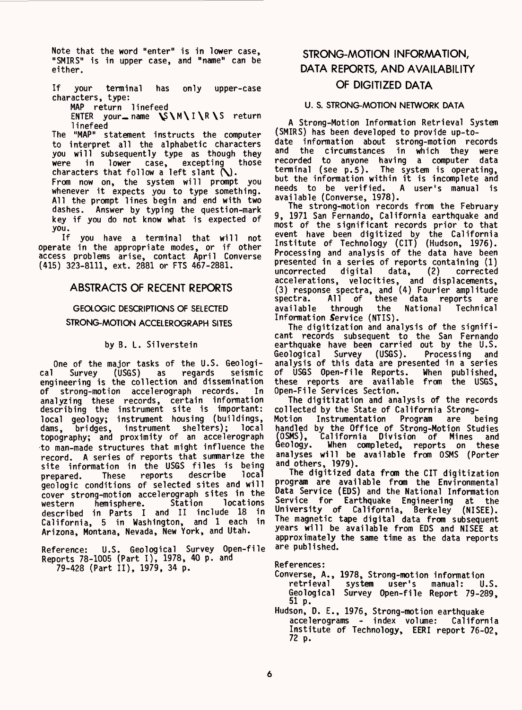Note that the word "enter" is in lower case, "SMIRS" is in upper case, and "name" can be either.

If your terminal has only upper-case characters, type:

MAP return linefeed

ENTER your\_name  $\forall N \wedge I \wedge R \wedge S$  return linefeed

The "MAP" statement instructs the computer to interpret all the alphabetic characters you will subsequently type as though they<br>were in lower case, excepting those excepting characters that follow a left slant  $\mathbf{\hat{N}}$ .

From now on, the system will prompt you whenever it expects you to type something. All the prompt lines begin and end with two dashes. Answer by typing the question-mark key if you do not know what is expected of you.<br>If

you have a terminal that will not operate in the appropriate modes, or if other access problems arise, contact April Converse (415) 323-8111, ext. 2881 or FTS 467-2881.

#### ABSTRACTS OF RECENT REPORTS

#### GEOLOGIC DESCRIPTIONS OF SELECTED

#### STRONG-MOTION ACCELEROGRAPH SITES

#### by B. L. Silverstein

One of the major tasks of the U.S. Geologi-<br>Survey (USGS) as regards seismic cal Survey (USGS) as regards seismic engineering is the collection and dissemination of strong-motion accelerograph records. In analyzing these records, certain information describing the instrument site is important: local geology; instrument housing (buildings,<br>dams, bridges, instrument shelters); local dams, bridges, instrument shelters); topography; and proximity of an accelerograph to man-made structures that might influence the record. A series of reports that summarize the site information in the USGS files is being prepared. These reports describe local geologic conditions of selected sites and will cover strong-motion accelerograph sites in the western hemisphere. described in Parts I and II include 18 in California, 5 in Washington, and 1 each in Arizona, Montana, Nevada, New York, and Utah.

Reference: U.S. Geological Survey Open-file Reports 78-1005 (Part I), 1978, 40 p. and 79-428 (Part II), 1979, 34 p.

### STRONG-MOTION INFORMATION, DATA REPORTS, AND AVAILABILITY OF DIGITIZED DATA

#### U. S. STRONG-MOTION NETWORK DATA

A Strong-Motion Information Retrieval System (SMIRS) has been developed to provide up-todate information about strong-motion records and the circumstances in which they were recorded to anyone having a computer data terminal (see p.5). The system is operating, but the information within it is incomplete and<br>needs to be verified. A user's manual is needs to be verified.

available (Converse, 1978). The strong-motion records from the February 9, 1971 San Fernando, California earthquake and most of the significant records prior to that event have been digitized by the California Institute of Technology (CIT) (Hudson, 1976). Processing and analysis of the data have been presented in a series of reports containing (1) uncorrected digital data, (2) corrected accelerations, velocities, and displacements, (3) response spectra, and (4) Fourier amplitude spectra. All of these data reports are available through the National Technical Information Service (NTIS).

The digitization and analysis of the significant records subsequent to the San Fernando earthquake have been carried out by the U.S. Geological Survey (USGS). Processing and analysis of this data are presented in a series of USGS Open-file Reports. When published, these reports are available from the USGS, Open-File Services Section.

The digitization and analysis of the records collected by the State of California Strong-Instrumentation Program are being handled by the Office of Strong-Motion Studies<br>(OSMS), California Division of Mines and California Division of Mines Geology. When completed, reports on these analyses will be available from OSMS (Porter and others, 1979).

The digitized data from the CIT digitization program are available from the Environmental Data Service (EDS) and the National Information Service for Earthquake Engineering at the University of California, Berkeley (NISEE). The magnetic tape digital data from subsequent years will be available from EDS and NISEE at approximately the same time as the data reports are published.

References:

- Converse, A., 1978, Strong-motion information system user's Geological Survey Open-file Report 79-289, 51 p.
- Hudson, D. E., 1976, Strong-motion earthquake accelerograms - index volume: California Institute of Technology, EERI report 76-02, 72 p.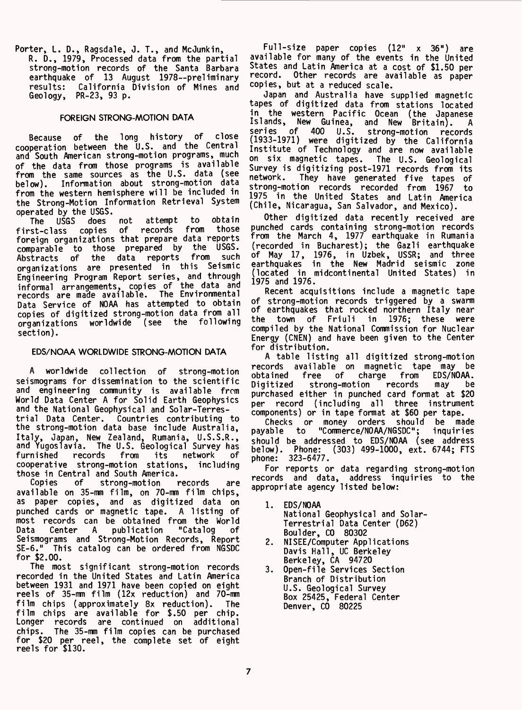Porter, L. D., Ragsdale, J. T., and McJunkin,

R. D., 1979, Processed data from the partial strong-motion records of the Santa Barbara earthquake of 13 August 1978--preliminary results: California Division of Mines and Geology, PR-23, 93 p.

#### FOREIGN STRONG-MOTION DATA

Because of the long history of close cooperation between the U.S. and the Central and South American strong-motion programs, much of the data from those programs is available from the same sources as the U.S. data (see below). Information about strong-motion data from the western hemisphere will be included in the Strong-Motion Information Retrieval System operated by the USGS.<br>The USGS does not

attempt to obtain<br>records from those first-class copies of foreign organizations that prepare data reports comparable to those prepared by the USGS. Abstracts of the data reports from such organizations are presented in this Seismic Engineering Program Report series, and through informal arrangements, copies of the data and records are made available. The Environmental Data Service of NOAA has attempted to obtain copies of digitized strong-motion data from all organizations worldwide (see the following section).

#### EDS/NOAA WORLDWIDE STRONG-MOTION DATA

A worldwide collection of strong-motion seismograms for dissemination to the scientific and engineering community is available from World Data Center A for Solid Earth Geophysics and the National Geophysical and Solar-Terrestrial Data Center. Countries contributing to the strong-motion data base include Australia, Italy, Japan, New Zealand, Rumania, U.S.S.R., and Yugoslavia. The U.S. Geological Survey has furnished records from its network of cooperative strong-motion stations, including those in Central and South America.

Copies of strong-motion records are available on 35-mm film, on 70-mm film chips, as paper copies, and as digitized data on punched cards or magnetic tape. A listing of most records can be obtained from the World Data Center A publication "Catalog of Seismograms and Strong-Motion Records, Report SE-6." This catalog can be ordered from NGSDC for \$2.00.

The most significant strong-motion records recorded in the United States and Latin America between 1931 and 1971 have been copied on eight reels of 35-mm film (12x reduction) and 70-mm film chips (approximately 8x reduction). The film chips are available for \$.50 per chip. Longer records are continued on additional chips. The 35-mm film copies can be purchased for \$20 per reel, the complete set of eight reels for \$130.

Full-size paper copies (12" x 36") are available for many of the events in the United States and Latin America at a cost of \$1.50 per record. Other records are available as paper copies, but at a reduced scale.

Japan and Australia have supplied magnetic tapes of digitized data from stations located in the western Pacific Ocean (the Japanese Islands, New Guinea, and New Britain). A series of 400 U.S. strong-motion records (1933-1971) were digitized by the California Institute of Technology and are now available on six magnetic tapes. The U.S. Geological Survey is digitizing post-1971 records from its network. They have generated five tapes of strong-motion records recorded from 1967 to 1975 in the United States and Latin America (Chile, Nicaragua, San Salvador, and Mexico).

Other digitized data recently received are punched cards containing strong-motion records from the March 4, 1977 earthquake in Rumania (recorded in Bucharest); the Gazli earthquake of May 17, 1976, in Uzbek, USSR; and three earthquakes in the New Madrid seismic zone (located in midcontinental United States) in 1975 and 1976.

Recent acquisitions include a magnetic tape of strong-motion records triggered by a swarm of earthquakes that rocked northern Italy near the town of Friuli in 1976; these were compiled by the National Commission for Nuclear Energy (CNEN) and have been given to the Center for distribution.

A table listing all digitized strong-motion records available on magnetic tape may be obtained free of charge from EDS/NOAA. strong-motion purchased either in punched card format at \$20 per record (including all three instrument components) or in tape format at \$60 per tape.

Checks or money orders should be made payable to "Commerce/NOAA/NGSDC"; inquiries should be addressed to EDS/NOAA (see address below). Phone: (303) 499-1000, ext. 6744; FTS phone: 323-6477.

For reports or data regarding strong-motion records and data, address inquiries to the appropriate agency listed below:

- 1. EDS/NOAA National Geophysical and Solar-Terrestrial Data Center (D62) Boulder, CO 80302
- 2. NISEE/Computer Applications Davis Hall, UC Berkeley Berkeley, CA 94720
- 3. Open-file Services Section Branch of Distribution U.S. Geological Survey Box 25425, Federal Center Denver, CO 80225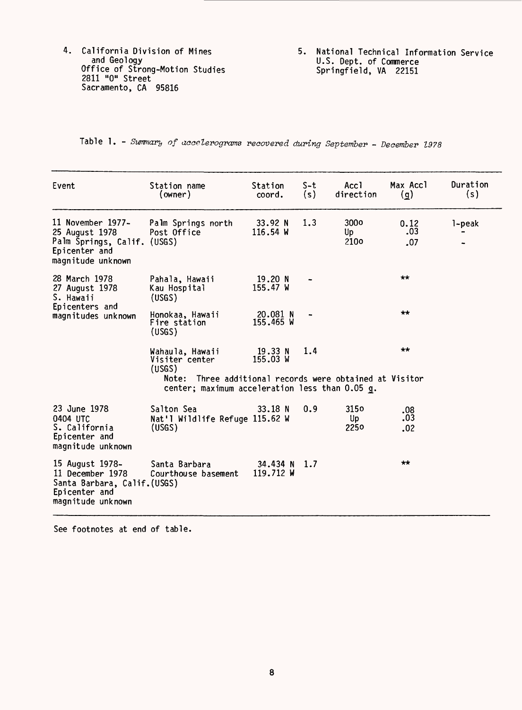- California Division of Mines and Geology Office of Strong-Motion Studies 2811 "0" Street Sacramento, CA 95816
- 5. National Technical Information Service U.S. Dept. of Commerce Springfield, VA 22151

Table 1. - Summary of accelerograms recovered during September - December 1978

| Event                                                                                                    | Station name<br>(owner)                                                                                                                                  | Station<br>coord.              | S-t<br>(s) | Accl<br>direction              | Max Accl<br>(q)    | Duration<br>(s) |
|----------------------------------------------------------------------------------------------------------|----------------------------------------------------------------------------------------------------------------------------------------------------------|--------------------------------|------------|--------------------------------|--------------------|-----------------|
| 11 November 1977-<br>25 August 1978<br>Palm Springs, Calif. (USGS)<br>Epicenter and<br>magnitude unknown | Palm Springs north<br>Post Office                                                                                                                        | 33.92 N<br>$116.54$ W          | 1.3        | 300 <sub>o</sub><br>Up<br>210o | 0.12<br>.03<br>.07 | 1-peak          |
| 28 March 1978<br>27 August 1978<br>S. Hawaii                                                             | Pahala, Hawaii<br>Kau Hospital<br>(USGS)                                                                                                                 | 19.20 <sub>N</sub><br>155.47 W |            |                                | $\star\star$       |                 |
| Epicenters and<br>magnitudes unknown                                                                     | Honokaa, Hawaii<br>Fire station<br>(USGS)                                                                                                                | 20.081 N<br>155.465 W          |            |                                | $+ +$              |                 |
|                                                                                                          | Wahaula, Hawaii<br>Visiter center<br>(USGS)<br>Note: Three additional records were obtained at Visitor<br>center; maximum acceleration less than 0.05 g. | 19.33 N<br>155.03 W            | 1.4        |                                | $\star\star$       |                 |
| 23 June 1978<br>0404 UTC<br>S. California<br>Epicenter and<br>magnitude unknown                          | Salton Sea<br>Nat'l Wildlife Refuge 115.62 W<br>(USGS)                                                                                                   | 33.18 N                        | 0.9        | 3150<br>Up<br>2250             | .08<br>.03<br>.02  |                 |
| 15 August 1978–<br>11 December 1978<br>Santa Barbara, Calif.(USGS)<br>Epicenter and<br>magnitude unknown | Santa Barbara<br>Courthouse basement                                                                                                                     | 34.434 N<br>119.712 W          | 1.7        |                                | $\star\star$       |                 |

See footnotes at end of table.